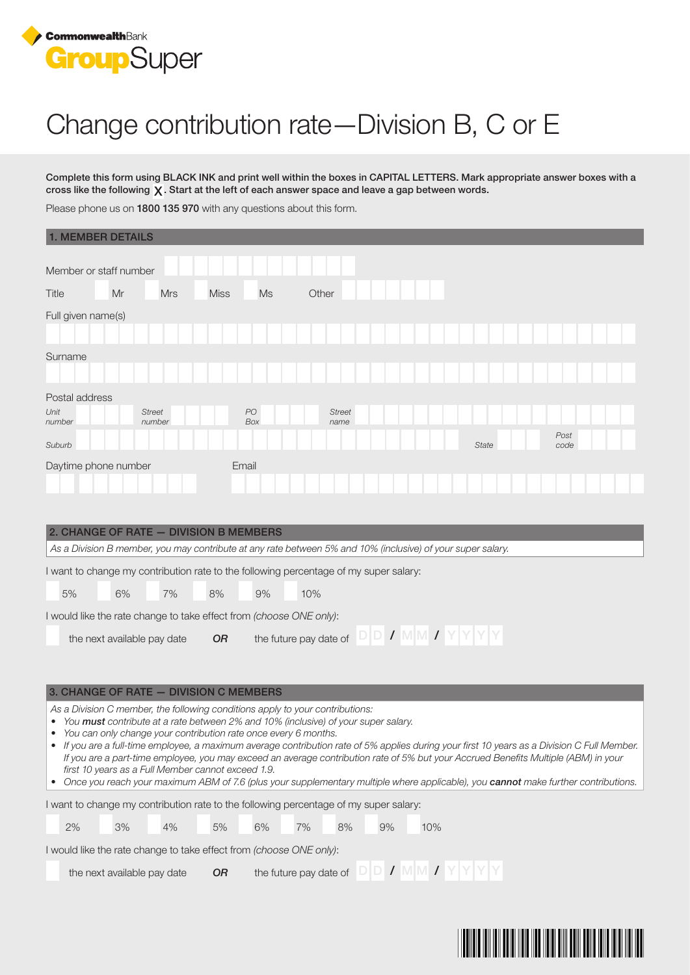

## Change contribution rate—Division B, C or E

Complete this form using BLACK INK and print well within the boxes in CAPITAL LETTERS. Mark appropriate answer boxes with a cross like the following  $X$ . Start at the left of each answer space and leave a gap between words.

Please phone us on 1800 135 970 with any questions about this form.

| <b>1. MEMBER DETAILS</b>                                                              |                                                                 |             |                                                                                                                                                                     |    |     |              |              |  |
|---------------------------------------------------------------------------------------|-----------------------------------------------------------------|-------------|---------------------------------------------------------------------------------------------------------------------------------------------------------------------|----|-----|--------------|--------------|--|
| Member or staff number                                                                |                                                                 |             |                                                                                                                                                                     |    |     |              |              |  |
| <b>Title</b><br>Mr                                                                    | <b>Mrs</b>                                                      | <b>Miss</b> | <b>Ms</b><br>Other                                                                                                                                                  |    |     |              |              |  |
| Full given name(s)                                                                    |                                                                 |             |                                                                                                                                                                     |    |     |              |              |  |
|                                                                                       |                                                                 |             |                                                                                                                                                                     |    |     |              |              |  |
| Surname                                                                               |                                                                 |             |                                                                                                                                                                     |    |     |              |              |  |
| Postal address                                                                        |                                                                 |             |                                                                                                                                                                     |    |     |              |              |  |
| Unit                                                                                  | <b>Street</b>                                                   | PO          | <b>Street</b>                                                                                                                                                       |    |     |              |              |  |
| number<br>Suburb                                                                      | number                                                          | <b>Box</b>  | name                                                                                                                                                                |    |     | <b>State</b> | Post<br>code |  |
| Daytime phone number<br>Email                                                         |                                                                 |             |                                                                                                                                                                     |    |     |              |              |  |
|                                                                                       |                                                                 |             |                                                                                                                                                                     |    |     |              |              |  |
|                                                                                       |                                                                 |             |                                                                                                                                                                     |    |     |              |              |  |
| 2. CHANGE OF RATE - DIVISION B MEMBERS                                                |                                                                 |             |                                                                                                                                                                     |    |     |              |              |  |
|                                                                                       |                                                                 |             | As a Division B member, you may contribute at any rate between 5% and 10% (inclusive) of your super salary.                                                         |    |     |              |              |  |
|                                                                                       |                                                                 |             | I want to change my contribution rate to the following percentage of my super salary:                                                                               |    |     |              |              |  |
| 5%<br>6%                                                                              | 7%                                                              | 8%<br>9%    | 10%                                                                                                                                                                 |    |     |              |              |  |
| I would like the rate change to take effect from (choose ONE only):                   |                                                                 |             |                                                                                                                                                                     |    |     |              |              |  |
|                                                                                       | the next available pay date                                     | <b>OR</b>   |                                                                                                                                                                     |    |     |              |              |  |
|                                                                                       |                                                                 |             |                                                                                                                                                                     |    |     |              |              |  |
| 3. CHANGE OF RATE - DIVISION C MEMBERS                                                |                                                                 |             |                                                                                                                                                                     |    |     |              |              |  |
|                                                                                       |                                                                 |             | As a Division C member, the following conditions apply to your contributions:<br>You must contribute at a rate between 2% and 10% (inclusive) of your super salary. |    |     |              |              |  |
| $\bullet$                                                                             | You can only change your contribution rate once every 6 months. |             | If you are a full-time employee, a maximum average contribution rate of 5% applies during your first 10 years as a Division C Full Member.                          |    |     |              |              |  |
|                                                                                       |                                                                 |             | If you are a part-time employee, you may exceed an average contribution rate of 5% but your Accrued Benefits Multiple (ABM) in your                                 |    |     |              |              |  |
| $\bullet$                                                                             | first 10 years as a Full Member cannot exceed 1.9.              |             | Once you reach your maximum ABM of 7.6 (plus your supplementary multiple where applicable), you cannot make further contributions.                                  |    |     |              |              |  |
| I want to change my contribution rate to the following percentage of my super salary: |                                                                 |             |                                                                                                                                                                     |    |     |              |              |  |
| 3%<br>2%                                                                              | 4%                                                              | 5%<br>6%    | 7%<br>8%                                                                                                                                                            | 9% | 10% |              |              |  |
| I would like the rate change to take effect from (choose ONE only):                   |                                                                 |             |                                                                                                                                                                     |    |     |              |              |  |
|                                                                                       | the next available pay date                                     | <b>OR</b>   |                                                                                                                                                                     |    |     |              |              |  |